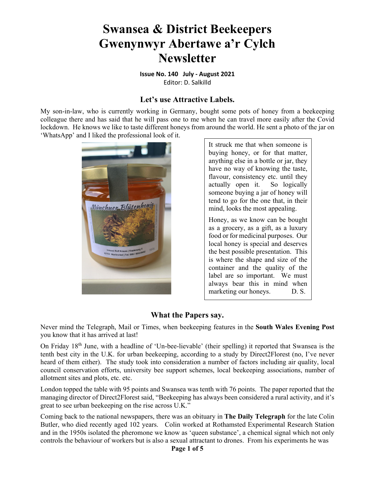# **Swansea & District Beekeepers Gwenynwyr Abertawe a'r Cylch Newsletter**

**Issue No. 140 July ‐ August 2021** Editor: D. Salkilld

#### **Let's use Attractive Labels.**

My son-in-law, who is currently working in Germany, bought some pots of honey from a beekeeping colleague there and has said that he will pass one to me when he can travel more easily after the Covid lockdown. He knows we like to taste different honeys from around the world. He sent a photo of the jar on 'WhatsApp' and I liked the professional look of it.



It struck me that when someone is buying honey, or for that matter, anything else in a bottle or jar, they have no way of knowing the taste, flavour, consistency etc. until they actually open it. So logically someone buying a jar of honey will tend to go for the one that, in their mind, looks the most appealing.

Honey, as we know can be bought as a grocery, as a gift, as a luxury food or for medicinal purposes. Our local honey is special and deserves the best possible presentation. This is where the shape and size of the container and the quality of the label are so important. We must always bear this in mind when marketing our honeys. D. S.

# **What the Papers say.**

Never mind the Telegraph, Mail or Times, when beekeeping features in the **South Wales Evening Post** you know that it has arrived at last!

On Friday 18th June, with a headline of 'Un-bee-lievable' (their spelling) it reported that Swansea is the tenth best city in the U.K. for urban beekeeping, according to a study by Direct2Florest (no, I've never heard of them either). The study took into consideration a number of factors including air quality, local council conservation efforts, university bee support schemes, local beekeeping associations, number of allotment sites and plots, etc. etc.

London topped the table with 95 points and Swansea was tenth with 76 points. The paper reported that the managing director of Direct2Florest said, "Beekeeping has always been considered a rural activity, and it's great to see urban beekeeping on the rise across U.K."

Coming back to the national newspapers, there was an obituary in **The Daily Telegraph** for the late Colin Butler, who died recently aged 102 years. Colin worked at Rothamsted Experimental Research Station and in the 1950s isolated the pheromone we know as 'queen substance', a chemical signal which not only controls the behaviour of workers but is also a sexual attractant to drones. From his experiments he was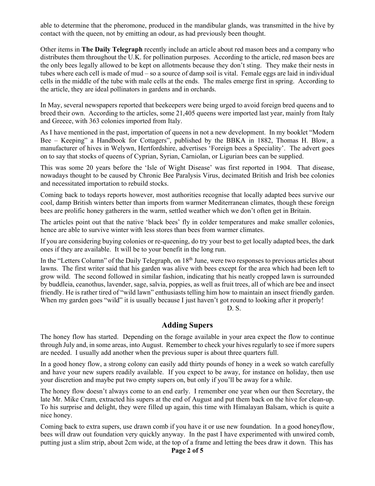able to determine that the pheromone, produced in the mandibular glands, was transmitted in the hive by contact with the queen, not by emitting an odour, as had previously been thought.

Other items in **The Daily Telegraph** recently include an article about red mason bees and a company who distributes them throughout the U.K. for pollination purposes. According to the article, red mason bees are the only bees legally allowed to be kept on allotments because they don't sting. They make their nests in tubes where each cell is made of mud – so a source of damp soil is vital. Female eggs are laid in individual cells in the middle of the tube with male cells at the ends. The males emerge first in spring. According to the article, they are ideal pollinators in gardens and in orchards.

In May, several newspapers reported that beekeepers were being urged to avoid foreign bred queens and to breed their own. According to the articles, some 21,405 queens were imported last year, mainly from Italy and Greece, with 363 colonies imported from Italy.

As I have mentioned in the past, importation of queens in not a new development. In my booklet "Modern Bee – Keeping" a Handbook for Cottagers", published by the BBKA in 1882, Thomas H. Blow, a manufacturer of hives in Welywn, Hertfordshire, advertises 'Foreign bees a Speciality'. The advert goes on to say that stocks of queens of Cyprian, Syrian, Carniolan, or Ligurian bees can be supplied.

This was some 20 years before the 'Isle of Wight Disease' was first reported in 1904. That disease, nowadays thought to be caused by Chronic Bee Paralysis Virus, decimated British and Irish bee colonies and necessitated importation to rebuild stocks.

Coming back to todays reports however, most authorities recognise that locally adapted bees survive our cool, damp British winters better than imports from warmer Mediterranean climates, though these foreign bees are prolific honey gatherers in the warm, settled weather which we don't often get in Britain.

The articles point out that the native 'black bees' fly in colder temperatures and make smaller colonies, hence are able to survive winter with less stores than bees from warmer climates.

If you are considering buying colonies or re-queening, do try your best to get locally adapted bees, the dark ones if they are available. It will be to your benefit in the long run.

In the "Letters Column" of the Daily Telegraph, on  $18<sup>th</sup>$  June, were two responses to previous articles about lawns. The first writer said that his garden was alive with bees except for the area which had been left to grow wild. The second followed in similar fashion, indicating that his neatly cropped lawn is surrounded by buddleia, ceanothus, lavender, sage, salvia, poppies, as well as fruit trees, all of which are bee and insect friendly. He is rather tired of "wild lawn" enthusiasts telling him how to maintain an insect friendly garden. When my garden goes "wild" it is usually because I just haven't got round to looking after it properly! D. S.

#### **Adding Supers**

The honey flow has started. Depending on the forage available in your area expect the flow to continue through July and, in some areas, into August. Remember to check your hives regularly to see if more supers are needed. I usually add another when the previous super is about three quarters full.

In a good honey flow, a strong colony can easily add thirty pounds of honey in a week so watch carefully and have your new supers readily available. If you expect to be away, for instance on holiday, then use your discretion and maybe put two empty supers on, but only if you'll be away for a while.

The honey flow doesn't always come to an end early. I remember one year when our then Secretary, the late Mr. Mike Cram, extracted his supers at the end of August and put them back on the hive for clean-up. To his surprise and delight, they were filled up again, this time with Himalayan Balsam, which is quite a nice honey.

Coming back to extra supers, use drawn comb if you have it or use new foundation. In a good honeyflow, bees will draw out foundation very quickly anyway. In the past I have experimented with unwired comb, putting just a slim strip, about 2cm wide, at the top of a frame and letting the bees draw it down. This has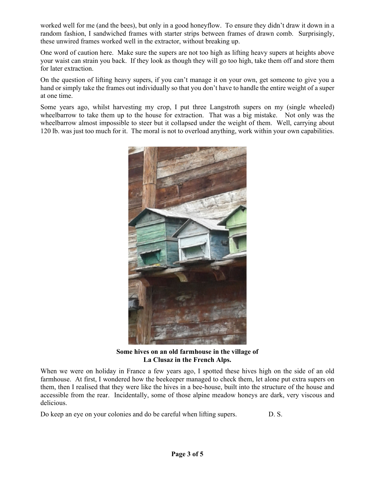worked well for me (and the bees), but only in a good honeyflow. To ensure they didn't draw it down in a random fashion, I sandwiched frames with starter strips between frames of drawn comb. Surprisingly, these unwired frames worked well in the extractor, without breaking up.

One word of caution here. Make sure the supers are not too high as lifting heavy supers at heights above your waist can strain you back. If they look as though they will go too high, take them off and store them for later extraction.

On the question of lifting heavy supers, if you can't manage it on your own, get someone to give you a hand or simply take the frames out individually so that you don't have to handle the entire weight of a super at one time.

Some years ago, whilst harvesting my crop, I put three Langstroth supers on my (single wheeled) wheelbarrow to take them up to the house for extraction. That was a big mistake. Not only was the wheelbarrow almost impossible to steer but it collapsed under the weight of them. Well, carrying about 120 lb. was just too much for it. The moral is not to overload anything, work within your own capabilities.



**Some hives on an old farmhouse in the village of La Clusaz in the French Alps.** 

When we were on holiday in France a few years ago, I spotted these hives high on the side of an old farmhouse. At first, I wondered how the beekeeper managed to check them, let alone put extra supers on them, then I realised that they were like the hives in a bee-house, built into the structure of the house and accessible from the rear. Incidentally, some of those alpine meadow honeys are dark, very viscous and delicious.

Do keep an eye on your colonies and do be careful when lifting supers. D. S.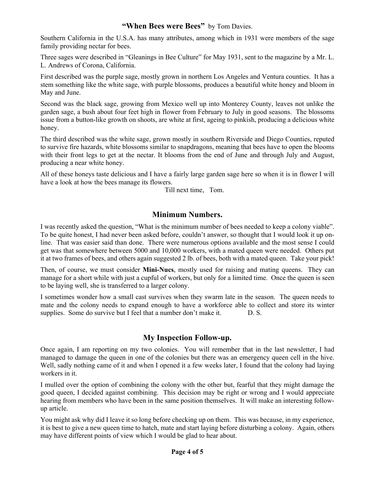## **"When Bees were Bees"** by Tom Davies.

Southern California in the U.S.A. has many attributes, among which in 1931 were members of the sage family providing nectar for bees.

Three sages were described in "Gleanings in Bee Culture" for May 1931, sent to the magazine by a Mr. L. L. Andrews of Corona, California.

First described was the purple sage, mostly grown in northern Los Angeles and Ventura counties. It has a stem something like the white sage, with purple blossoms, produces a beautiful white honey and bloom in May and June.

Second was the black sage, growing from Mexico well up into Monterey County, leaves not unlike the garden sage, a bush about four feet high in flower from February to July in good seasons. The blossoms issue from a button-like growth on shoots, are white at first, ageing to pinkish, producing a delicious white honey.

The third described was the white sage, grown mostly in southern Riverside and Diego Counties, reputed to survive fire hazards, white blossoms similar to snapdragons, meaning that bees have to open the blooms with their front legs to get at the nectar. It blooms from the end of June and through July and August, producing a near white honey.

All of these honeys taste delicious and I have a fairly large garden sage here so when it is in flower I will have a look at how the bees manage its flowers.

Till next time, Tom.

## **Minimum Numbers.**

I was recently asked the question, "What is the minimum number of bees needed to keep a colony viable". To be quite honest, I had never been asked before, couldn't answer, so thought that I would look it up online. That was easier said than done. There were numerous options available and the most sense I could get was that somewhere between 5000 and 10,000 workers, with a mated queen were needed. Others put it at two frames of bees, and others again suggested 2 lb. of bees, both with a mated queen. Take your pick!

Then, of course, we must consider **Mini-Nucs**, mostly used for raising and mating queens. They can manage for a short while with just a cupful of workers, but only for a limited time. Once the queen is seen to be laying well, she is transferred to a larger colony.

I sometimes wonder how a small cast survives when they swarm late in the season. The queen needs to mate and the colony needs to expand enough to have a workforce able to collect and store its winter supplies. Some do survive but I feel that a number don't make it. D. S.

# **My Inspection Follow-up.**

Once again, I am reporting on my two colonies. You will remember that in the last newsletter, I had managed to damage the queen in one of the colonies but there was an emergency queen cell in the hive. Well, sadly nothing came of it and when I opened it a few weeks later, I found that the colony had laying workers in it.

I mulled over the option of combining the colony with the other but, fearful that they might damage the good queen, I decided against combining. This decision may be right or wrong and I would appreciate hearing from members who have been in the same position themselves. It will make an interesting followup article.

You might ask why did I leave it so long before checking up on them. This was because, in my experience, it is best to give a new queen time to hatch, mate and start laying before disturbing a colony. Again, others may have different points of view which I would be glad to hear about.